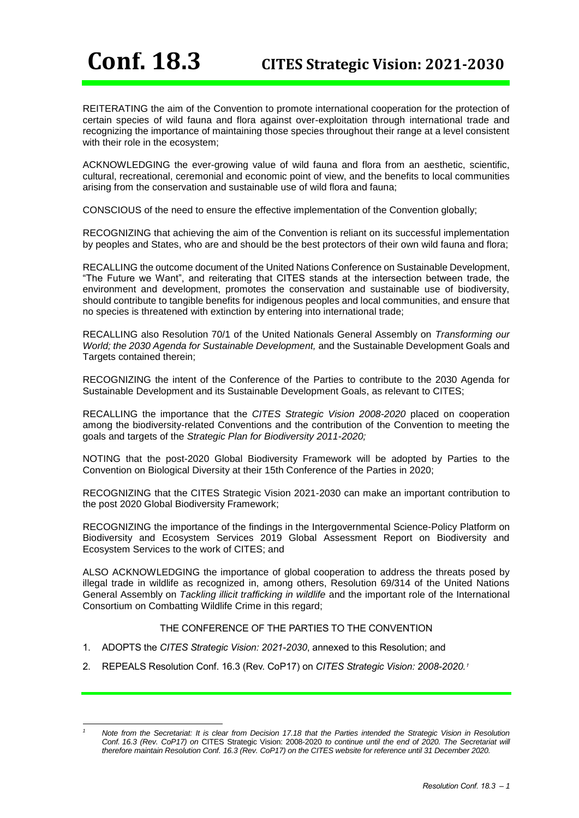REITERATING the aim of the Convention to promote international cooperation for the protection of certain species of wild fauna and flora against over-exploitation through international trade and recognizing the importance of maintaining those species throughout their range at a level consistent with their role in the ecosystem;

ACKNOWLEDGING the ever-growing value of wild fauna and flora from an aesthetic, scientific, cultural, recreational, ceremonial and economic point of view, and the benefits to local communities arising from the conservation and sustainable use of wild flora and fauna;

CONSCIOUS of the need to ensure the effective implementation of the Convention globally;

RECOGNIZING that achieving the aim of the Convention is reliant on its successful implementation by peoples and States, who are and should be the best protectors of their own wild fauna and flora;

RECALLING the outcome document of the United Nations Conference on Sustainable Development, "The Future we Want", and reiterating that CITES stands at the intersection between trade, the environment and development, promotes the conservation and sustainable use of biodiversity, should contribute to tangible benefits for indigenous peoples and local communities, and ensure that no species is threatened with extinction by entering into international trade;

RECALLING also Resolution 70/1 of the United Nationals General Assembly on *Transforming our World; the 2030 Agenda for Sustainable Development,* and the Sustainable Development Goals and Targets contained therein:

RECOGNIZING the intent of the Conference of the Parties to contribute to the 2030 Agenda for Sustainable Development and its Sustainable Development Goals, as relevant to CITES;

RECALLING the importance that the *CITES Strategic Vision 2008-2020* placed on cooperation among the biodiversity-related Conventions and the contribution of the Convention to meeting the goals and targets of the *Strategic Plan for Biodiversity 2011-2020;*

NOTING that the post-2020 Global Biodiversity Framework will be adopted by Parties to the Convention on Biological Diversity at their 15th Conference of the Parties in 2020;

RECOGNIZING that the CITES Strategic Vision 2021-2030 can make an important contribution to the post 2020 Global Biodiversity Framework;

RECOGNIZING the importance of the findings in the Intergovernmental Science-Policy Platform on Biodiversity and Ecosystem Services 2019 Global Assessment Report on Biodiversity and Ecosystem Services to the work of CITES; and

ALSO ACKNOWLEDGING the importance of global cooperation to address the threats posed by illegal trade in wildlife as recognized in, among others, Resolution 69/314 of the United Nations General Assembly on *Tackling illicit trafficking in wildlife* and the important role of the International Consortium on Combatting Wildlife Crime in this regard;

# THE CONFERENCE OF THE PARTIES TO THE CONVENTION

- 1. ADOPTS the *CITES Strategic Vision: 2021-2030*, annexed to this Resolution; and
- 2. REPEALS Resolution Conf. 16.3 (Rev. CoP17) on *CITES Strategic Vision: 2008-2020.*<sup>1</sup>

<sup>-</sup>*<sup>1</sup> Note from the Secretariat: It is clear from Decision 17.18 that the Parties intended the Strategic Vision in Resolution Conf. 16.3 (Rev. CoP17) on* CITES Strategic Vision: 2008-2020 *to continue until the end of 2020. The Secretariat will therefore maintain Resolution Conf. 16.3 (Rev. CoP17) on the CITES website for reference until 31 December 2020.*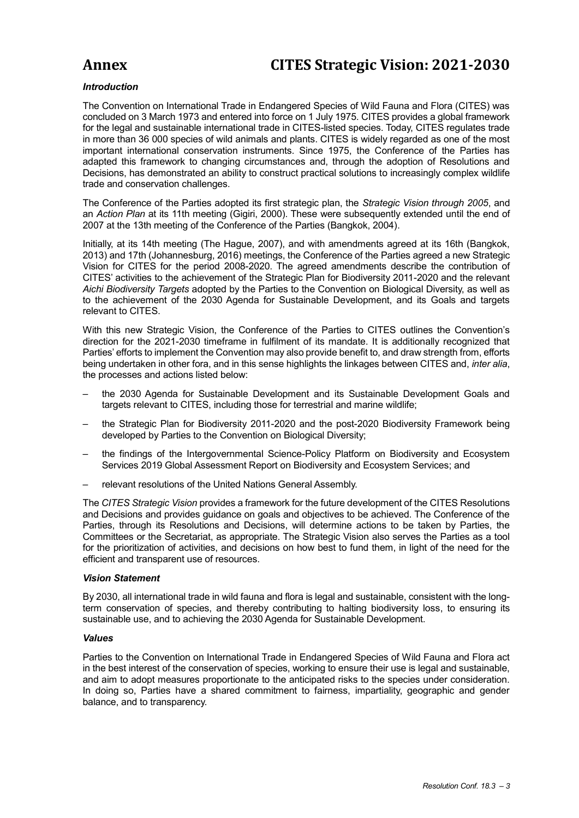# **Annex CITES Strategic Vision: 2021-2030**

# *Introduction*

The Convention on International Trade in Endangered Species of Wild Fauna and Flora (CITES) was concluded on 3 March 1973 and entered into force on 1 July 1975. CITES provides a global framework for the legal and sustainable international trade in CITES-listed species. Today, CITES regulates trade in more than 36 000 species of wild animals and plants. CITES is widely regarded as one of the most important international conservation instruments. Since 1975, the Conference of the Parties has adapted this framework to changing circumstances and, through the adoption of Resolutions and Decisions, has demonstrated an ability to construct practical solutions to increasingly complex wildlife trade and conservation challenges.

The Conference of the Parties adopted its first strategic plan, the *Strategic Vision through 2005*, and an *Action Plan* at its 11th meeting (Gigiri, 2000). These were subsequently extended until the end of 2007 at the 13th meeting of the Conference of the Parties (Bangkok, 2004).

Initially, at its 14th meeting (The Hague, 2007), and with amendments agreed at its 16th (Bangkok, 2013) and 17th (Johannesburg, 2016) meetings, the Conference of the Parties agreed a new Strategic Vision for CITES for the period 2008-2020. The agreed amendments describe the contribution of CITES' activities to the achievement of the Strategic Plan for Biodiversity 2011-2020 and the relevant *Aichi Biodiversity Targets* adopted by the Parties to the Convention on Biological Diversity, as well as to the achievement of the 2030 Agenda for Sustainable Development, and its Goals and targets relevant to CITES.

With this new Strategic Vision, the Conference of the Parties to CITES outlines the Convention's direction for the 2021-2030 timeframe in fulfilment of its mandate. It is additionally recognized that Parties' efforts to implement the Convention may also provide benefit to, and draw strength from, efforts being undertaken in other fora, and in this sense highlights the linkages between CITES and, *inter alia*, the processes and actions listed below:

- the 2030 Agenda for Sustainable Development and its Sustainable Development Goals and targets relevant to CITES, including those for terrestrial and marine wildlife;
- the Strategic Plan for Biodiversity 2011-2020 and the post-2020 Biodiversity Framework being developed by Parties to the Convention on Biological Diversity;
- the findings of the Intergovernmental Science-Policy Platform on Biodiversity and Ecosystem Services 2019 Global Assessment Report on Biodiversity and Ecosystem Services; and
- relevant resolutions of the United Nations General Assembly.

The *CITES Strategic Vision* provides a framework for the future development of the CITES Resolutions and Decisions and provides guidance on goals and objectives to be achieved. The Conference of the Parties, through its Resolutions and Decisions, will determine actions to be taken by Parties, the Committees or the Secretariat, as appropriate. The Strategic Vision also serves the Parties as a tool for the prioritization of activities, and decisions on how best to fund them, in light of the need for the efficient and transparent use of resources.

# *Vision Statement*

By 2030, all international trade in wild fauna and flora is legal and sustainable, consistent with the longterm conservation of species, and thereby contributing to halting biodiversity loss, to ensuring its sustainable use, and to achieving the 2030 Agenda for Sustainable Development.

# *Values*

Parties to the Convention on International Trade in Endangered Species of Wild Fauna and Flora act in the best interest of the conservation of species, working to ensure their use is legal and sustainable, and aim to adopt measures proportionate to the anticipated risks to the species under consideration. In doing so, Parties have a shared commitment to fairness, impartiality, geographic and gender balance, and to transparency.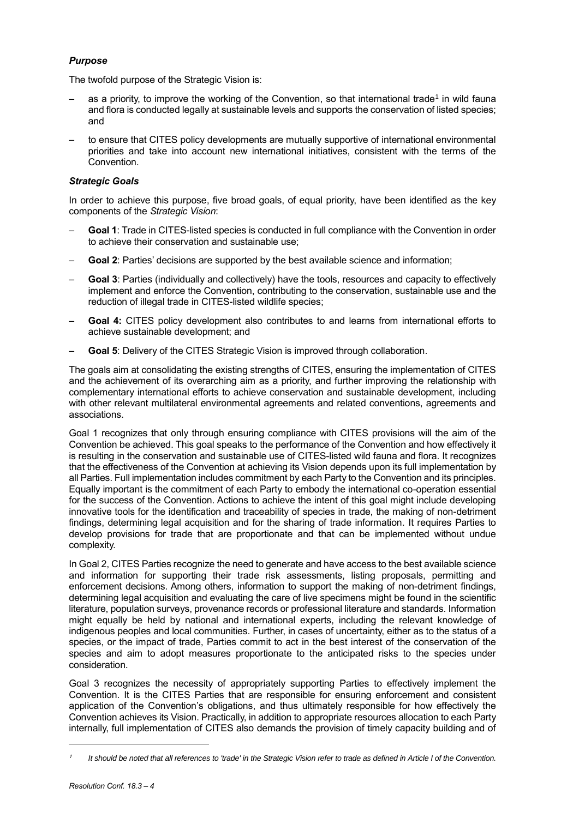# *Purpose*

The twofold purpose of the Strategic Vision is:

- $-$  as a priority, to improve the working of the Convention, so that international trade1 in wild fauna and flora is conducted legally at sustainable levels and supports the conservation of listed species; and
- to ensure that CITES policy developments are mutually supportive of international environmental priorities and take into account new international initiatives, consistent with the terms of the Convention.

# *Strategic Goals*

In order to achieve this purpose, five broad goals, of equal priority, have been identified as the key components of the *Strategic Vision*:

- **Goal 1**: Trade in CITES-listed species is conducted in full compliance with the Convention in order to achieve their conservation and sustainable use;
- **Goal 2**: Parties' decisions are supported by the best available science and information;
- **Goal 3**: Parties (individually and collectively) have the tools, resources and capacity to effectively implement and enforce the Convention, contributing to the conservation, sustainable use and the reduction of illegal trade in CITES-listed wildlife species;
- **Goal 4:** CITES policy development also contributes to and learns from international efforts to achieve sustainable development; and
- **Goal 5**: Delivery of the CITES Strategic Vision is improved through collaboration.

The goals aim at consolidating the existing strengths of CITES, ensuring the implementation of CITES and the achievement of its overarching aim as a priority, and further improving the relationship with complementary international efforts to achieve conservation and sustainable development, including with other relevant multilateral environmental agreements and related conventions, agreements and associations.

Goal 1 recognizes that only through ensuring compliance with CITES provisions will the aim of the Convention be achieved. This goal speaks to the performance of the Convention and how effectively it is resulting in the conservation and sustainable use of CITES-listed wild fauna and flora. It recognizes that the effectiveness of the Convention at achieving its Vision depends upon its full implementation by all Parties. Full implementation includes commitment by each Party to the Convention and its principles. Equally important is the commitment of each Party to embody the international co-operation essential for the success of the Convention. Actions to achieve the intent of this goal might include developing innovative tools for the identification and traceability of species in trade, the making of non-detriment findings, determining legal acquisition and for the sharing of trade information*.* It requires Parties to develop provisions for trade that are proportionate and that can be implemented without undue complexity.

In Goal 2, CITES Parties recognize the need to generate and have access to the best available science and information for supporting their trade risk assessments, listing proposals, permitting and enforcement decisions. Among others, information to support the making of non-detriment findings, determining legal acquisition and evaluating the care of live specimens might be found in the scientific literature, population surveys, provenance records or professional literature and standards. Information might equally be held by national and international experts, including the relevant knowledge of indigenous peoples and local communities. Further, in cases of uncertainty, either as to the status of a species, or the impact of trade, Parties commit to act in the best interest of the conservation of the species and aim to adopt measures proportionate to the anticipated risks to the species under consideration.

Goal 3 recognizes the necessity of appropriately supporting Parties to effectively implement the Convention. It is the CITES Parties that are responsible for ensuring enforcement and consistent application of the Convention's obligations, and thus ultimately responsible for how effectively the Convention achieves its Vision. Practically, in addition to appropriate resources allocation to each Party internally, full implementation of CITES also demands the provision of timely capacity building and of

l

<sup>1</sup> *It should be noted that all references to 'trade' in the Strategic Vision refer to trade as defined in Article I of the Convention.*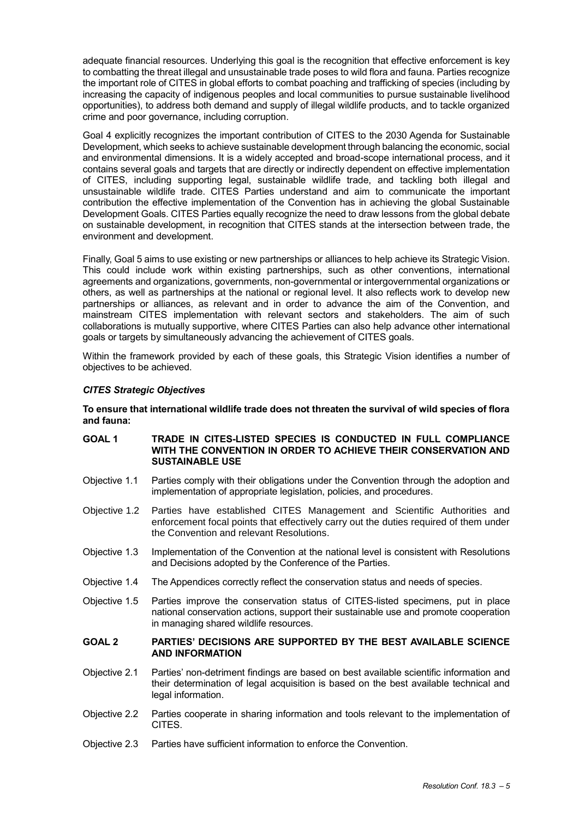adequate financial resources. Underlying this goal is the recognition that effective enforcement is key to combatting the threat illegal and unsustainable trade poses to wild flora and fauna. Parties recognize the important role of CITES in global efforts to combat poaching and trafficking of species (including by increasing the capacity of indigenous peoples and local communities to pursue sustainable livelihood opportunities), to address both demand and supply of illegal wildlife products, and to tackle organized crime and poor governance, including corruption.

Goal 4 explicitly recognizes the important contribution of CITES to the 2030 Agenda for Sustainable Development, which seeks to achieve sustainable development through balancing the economic, social and environmental dimensions. It is a widely accepted and broad-scope international process, and it contains several goals and targets that are directly or indirectly dependent on effective implementation of CITES, including supporting legal, sustainable wildlife trade, and tackling both illegal and unsustainable wildlife trade. CITES Parties understand and aim to communicate the important contribution the effective implementation of the Convention has in achieving the global Sustainable Development Goals. CITES Parties equally recognize the need to draw lessons from the global debate on sustainable development, in recognition that CITES stands at the intersection between trade, the environment and development.

Finally, Goal 5 aims to use existing or new partnerships or alliances to help achieve its Strategic Vision. This could include work within existing partnerships, such as other conventions, international agreements and organizations, governments, non-governmental or intergovernmental organizations or others, as well as partnerships at the national or regional level. It also reflects work to develop new partnerships or alliances, as relevant and in order to advance the aim of the Convention, and mainstream CITES implementation with relevant sectors and stakeholders. The aim of such collaborations is mutually supportive, where CITES Parties can also help advance other international goals or targets by simultaneously advancing the achievement of CITES goals.

Within the framework provided by each of these goals, this Strategic Vision identifies a number of objectives to be achieved.

# *CITES Strategic Objectives*

**To ensure that international wildlife trade does not threaten the survival of wild species of flora and fauna:** 

# **GOAL 1 TRADE IN CITES-LISTED SPECIES IS CONDUCTED IN FULL COMPLIANCE WITH THE CONVENTION IN ORDER TO ACHIEVE THEIR CONSERVATION AND SUSTAINABLE USE**

- Objective 1.1 Parties comply with their obligations under the Convention through the adoption and implementation of appropriate legislation, policies, and procedures.
- Objective 1.2 Parties have established CITES Management and Scientific Authorities and enforcement focal points that effectively carry out the duties required of them under the Convention and relevant Resolutions.
- Objective 1.3 Implementation of the Convention at the national level is consistent with Resolutions and Decisions adopted by the Conference of the Parties.
- Objective 1.4 The Appendices correctly reflect the conservation status and needs of species.
- Objective 1.5 Parties improve the conservation status of CITES-listed specimens, put in place national conservation actions, support their sustainable use and promote cooperation in managing shared wildlife resources.

# **GOAL 2 PARTIES' DECISIONS ARE SUPPORTED BY THE BEST AVAILABLE SCIENCE AND INFORMATION**

- Objective 2.1 Parties' non-detriment findings are based on best available scientific information and their determination of legal acquisition is based on the best available technical and legal information.
- Objective 2.2 Parties cooperate in sharing information and tools relevant to the implementation of CITES.
- Objective 2.3 Parties have sufficient information to enforce the Convention.